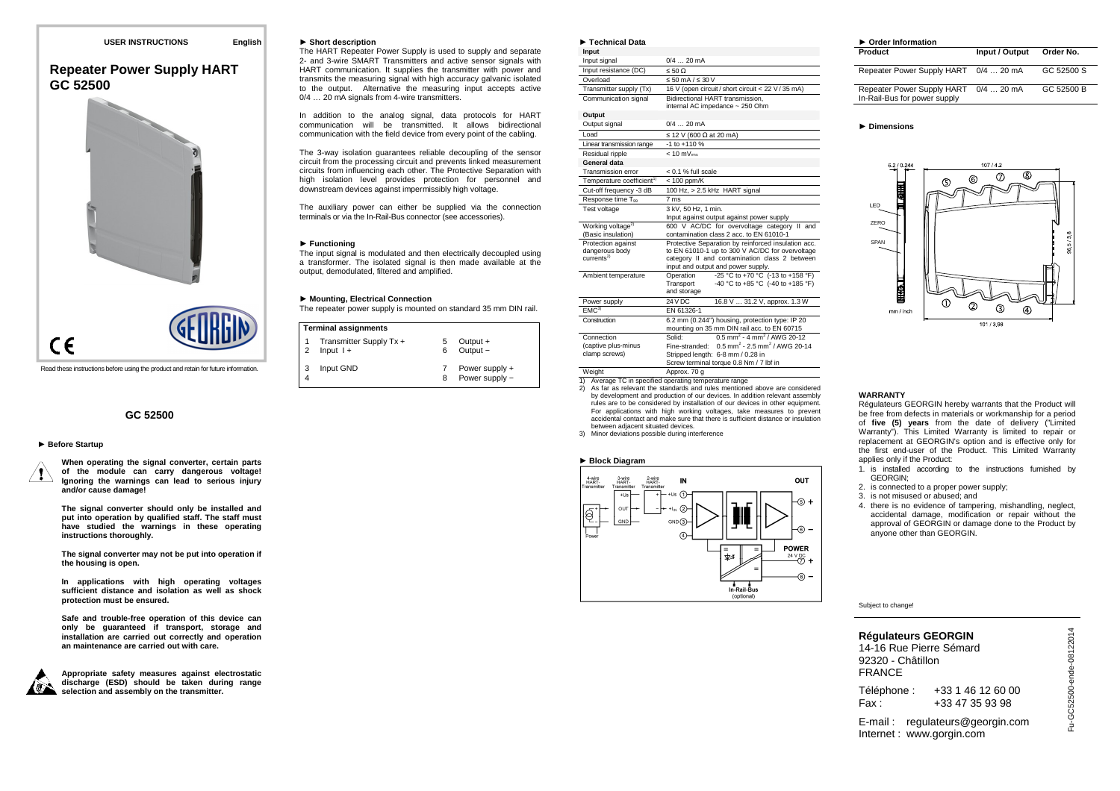# **USER INSTRUCTIONS English**

# **Repeater Power Supply HART GC 52500**



Read these instructions before using the product and retain for future information.

### **GC 52500**

### ► **Before Startup**

**When operating the signal converter, certain parts of the module can carry dangerous voltage! Ignoring the warnings can lead to serious injury and/or cause damage!** 

**The signal converter should only be installed and put into operation by qualified staff. The staff must have studied the warnings in these operating instructions thoroughly.** 

**The signal converter may not be put into operation if the housing is open.** 

**In applications with high operating voltages sufficient distance and isolation as well as shock protection must be ensured.** 

**Safe and trouble-free operation of this device can only be guaranteed if transport, storage and installation are carried out correctly and operation an maintenance are carried out with care.** 



**Appropriate safety measures against electrostatic discharge (ESD) should be taken during range selection and assembly on the transmitter.** 

### ► **Short description**

 The HART Repeater Power Supply is used to supply and separate 2- and 3-wire SMART Transmitters and active sensor signals with HART communication. It supplies the transmitter with power and transmits the measuring signal with high accuracy galvanic isolated to the output. Alternative the measuring input accepts active 0/4 ... 20 mA signals from 4-wire transmitters.

In addition to the analog signal, data protocols for HART communication will be transmitted. It allows bidirectional communication with the field device from every point of the cabling.

The 3-way isolation guarantees reliable decoupling of the sensor circuit from the processing circuit and prevents linked measurement circuits from influencing each other. The Protective Separation with high isolation level provides protection for personnel and downstream devices against impermissibly high voltage.

The auxiliary power can either be supplied via the connection terminals or via the In-Rail-Bus connector (see accessories).

### ► **Functioning**

 The input signal is modulated and then electrically decoupled using a transformer. The isolated signal is then made available at the output, demodulated, filtered and amplified.

### ► **Mounting, Electrical Connection**

The repeater power supply is mounted on standard 35 mm DIN rail.

| <b>Terminal assignments</b> |                                       |        |                                  |
|-----------------------------|---------------------------------------|--------|----------------------------------|
| $\overline{2}$              | Transmitter Supply Tx +<br>Input $1+$ | 5<br>6 | Output +<br>Output -             |
| 3                           | Input GND                             |        | Power supply +<br>Power supply - |

| Input signal                                                 | $0/4$ 20 mA                                                                                                                                                                                   |  |  |
|--------------------------------------------------------------|-----------------------------------------------------------------------------------------------------------------------------------------------------------------------------------------------|--|--|
| Input resistance (DC)                                        | $\leq 50 \Omega$                                                                                                                                                                              |  |  |
| Overload                                                     | $\leq 50$ mA $/ \leq 30$ V                                                                                                                                                                    |  |  |
| Transmitter supply (Tx)                                      | 16 V (open circuit / short circuit < 22 V / 35 mA)                                                                                                                                            |  |  |
| Communication signal                                         | Bidirectional HART transmission.<br>internal AC impedance ~ 250 Ohm                                                                                                                           |  |  |
| Output                                                       |                                                                                                                                                                                               |  |  |
| Output signal                                                | $0/4$ 20 mA                                                                                                                                                                                   |  |  |
| Load                                                         | $\leq$ 12 V (600 $\Omega$ at 20 mA)                                                                                                                                                           |  |  |
| Linear transmission range                                    | $-1$ to $+110%$                                                                                                                                                                               |  |  |
| Residual ripple                                              | $< 10 mV_{rms}$                                                                                                                                                                               |  |  |
| <b>General data</b>                                          |                                                                                                                                                                                               |  |  |
| Transmission error                                           | $< 0.1 %$ full scale                                                                                                                                                                          |  |  |
| Temperature coefficient <sup>1)</sup>                        | $< 100$ ppm/K                                                                                                                                                                                 |  |  |
| Cut-off frequency -3 dB                                      | 100 Hz, > 2.5 kHz HART signal                                                                                                                                                                 |  |  |
| Response time T <sub>99</sub>                                | 7 <sub>ms</sub>                                                                                                                                                                               |  |  |
| Test voltage                                                 | 3 kV, 50 Hz, 1 min.                                                                                                                                                                           |  |  |
|                                                              | Input against output against power supply                                                                                                                                                     |  |  |
| Working voltage <sup>2)</sup><br>(Basic insulation)          | 600 V AC/DC for overvoltage category II and<br>contamination class 2 acc. to EN 61010-1                                                                                                       |  |  |
| Protection against<br>dangerous body<br>current <sup>2</sup> | Protective Separation by reinforced insulation acc.<br>to EN 61010-1 up to 300 V AC/DC for overvoltage<br>category II and contamination class 2 between<br>input and output and power supply. |  |  |
| Ambient temperature                                          | -25 °C to +70 °C (-13 to +158 °F)<br>Operation<br>Transport<br>-40 °C to +85 °C (-40 to +185 °F)<br>and storage                                                                               |  |  |
| Power supply                                                 | 16.8 V  31.2 V, approx. 1.3 W<br>24 V DC                                                                                                                                                      |  |  |
| EMC <sup>3</sup>                                             | EN 61326-1                                                                                                                                                                                    |  |  |
| Construction                                                 | 6.2 mm (0.244") housing, protection type: IP 20<br>mounting on 35 mm DIN rail acc. to EN 60715                                                                                                |  |  |
| Connection                                                   | $0.5$ mm <sup>2</sup> - 4 mm <sup>2</sup> / AWG 20-12<br>Solid:                                                                                                                               |  |  |
| (captive plus-minus                                          | $0.5$ mm <sup>2</sup> - 2.5 mm <sup>2</sup> / AWG 20-14<br>Fine-stranded:                                                                                                                     |  |  |
| clamp screws)                                                | Stripped length: 6-8 mm / 0.28 in                                                                                                                                                             |  |  |
|                                                              | Screw terminal torque 0.8 Nm / 7 lbf in                                                                                                                                                       |  |  |
| Weight                                                       | Approx. 70 g<br>Average TC in specified operating temperature range                                                                                                                           |  |  |

- by development and production of our devices. In addition relevant assembly rules are to be considered by installation of our devices in other equipment. For applications with high working voltages, take measures to prevent accidental contact and make sure that there is sufficient distance or insulation between adjacent situated devices.
- 3) Minor deviations possible during interference



► **Technical Data Input** 



| ▶ Order Information                                        |                |            |  |
|------------------------------------------------------------|----------------|------------|--|
| Product                                                    | Input / Output | Order No.  |  |
| Repeater Power Supply HART 0/4  20 mA                      |                | GC 52500 S |  |
| Repeater Power Supply HART<br>In-Rail-Bus for power supply | $0/4$ 20 mA    | GC 52500 B |  |
|                                                            |                |            |  |

### ► **Dimensions**



### **WARRANTY**

 Régulateurs GEORGIN hereby warrants that the Product will be free from defects in materials or workmanship for a period of **five (5) years** from the date of delivery ("Limited Warranty"). This Limited Warranty is limited to repair or replacement at GEORGIN's option and is effective only for the first end-user of the Product. This Limited Warranty applies only if the Product:

- 1. is installed according to the instructions furnished by GEORGIN;
- 2. is connected to a proper power supply;
- 3. is not misused or abused; and
- 4. there is no evidence of tampering, mishandling, neglect, accidental damage, modification or repair without the approval of GEORGIN or damage done to the Product by anyone other than GEORGIN.

Subject to change!

**Régulateurs GEORGIN**  14-16 Rue Pierre Sémard 92320 - Châtillon FRANCE

Téléphone : +33 1 46 12 60 00 Fax : +33 47 35 93 98

E-mail : regulateurs@georgin.com Internet : www.gorgin.com